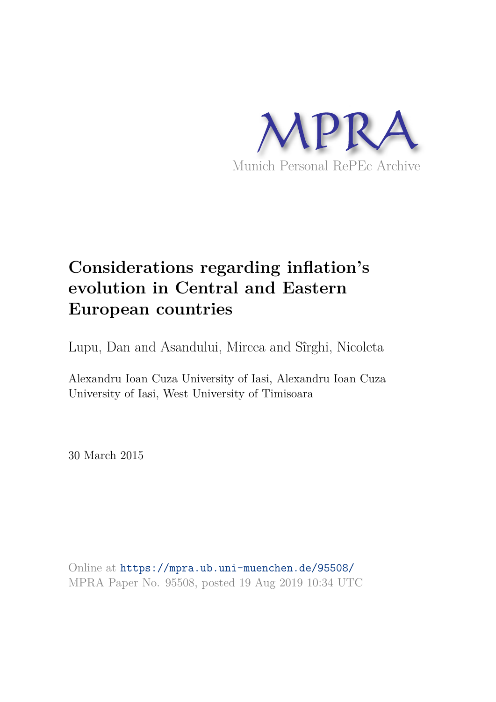

# **Considerations regarding inflation's evolution in Central and Eastern European countries**

Lupu, Dan and Asandului, Mircea and Sîrghi, Nicoleta

Alexandru Ioan Cuza University of Iasi, Alexandru Ioan Cuza University of Iasi, West University of Timisoara

30 March 2015

Online at https://mpra.ub.uni-muenchen.de/95508/ MPRA Paper No. 95508, posted 19 Aug 2019 10:34 UTC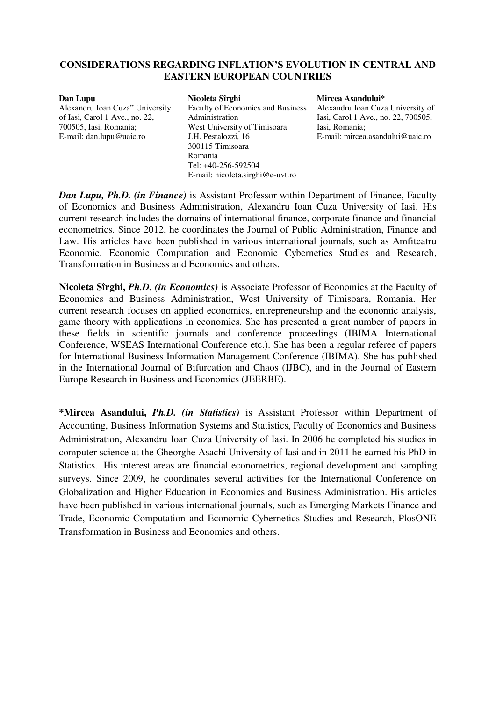# **CONSIDERATIONS REGARDING INFLATION'S EVOLUTION IN CENTRAL AND EASTERN EUROPEAN COUNTRIES**

#### **Dan Lupu**

Alexandru Ioan Cuza" University of Iasi, Carol 1 Ave., no. 22, 700505, Iasi, Romania; E-mail: [dan.lupu@uaic.ro](mailto:dan.lupu@uaic.ro) 

## **Nicoleta Sîrghi**

Faculty of Economics and Business Administration West University of Timisoara J.H. Pestalozzi, 16 300115 Timisoara Romania Tel: +40-256-592504 E-mail: [nicoleta.sirghi@e-uvt.ro](mailto:nicoleta.sirghi@e-uvt.ro) 

**Mircea Asandului\***  Alexandru Ioan Cuza University of Iasi, Carol 1 Ave., no. 22, 700505, Iasi, Romania; E-mail: mircea.asandului@uaic.ro

*Dan Lupu, Ph.D. (in Finance)* is Assistant Professor within Department of Finance, Faculty of Economics and Business Administration, Alexandru Ioan Cuza University of Iasi. His current research includes the domains of international finance, corporate finance and financial econometrics. Since 2012, he coordinates the Journal of Public Administration, Finance and Law. His articles have been published in various international journals, such as Amfiteatru Economic, Economic Computation and Economic Cybernetics Studies and Research, Transformation in Business and Economics and others.

**Nicoleta Sîrghi,** *Ph.D. (in Economics)* is Associate Professor of Economics at the Faculty of Economics and Business Administration, West University of Timisoara, Romania. Her current research focuses on applied economics, entrepreneurship and the economic analysis, game theory with applications in economics. She has presented a great number of papers in these fields in scientific journals and conference proceedings (IBIMA International Conference, WSEAS International Conference etc.). She has been a regular referee of papers for International Business Information Management Conference (IBIMA). She has published in the International Journal of Bifurcation and Chaos (IJBC), and in the Journal of Eastern Europe Research in Business and Economics (JEERBE).

**\*Mircea Asandului,** *Ph.D. (in Statistics)* is Assistant Professor within Department of Accounting, Business Information Systems and Statistics, Faculty of Economics and Business Administration, Alexandru Ioan Cuza University of Iasi. In 2006 he completed his studies in computer science at the Gheorghe Asachi University of Iasi and in 2011 he earned his PhD in Statistics. His interest areas are financial econometrics, regional development and sampling surveys. Since 2009, he coordinates several activities for the International Conference on Globalization and Higher Education in Economics and Business Administration. His articles have been published in various international journals, such as Emerging Markets Finance and Trade, Economic Computation and Economic Cybernetics Studies and Research, PlosONE Transformation in Business and Economics and others.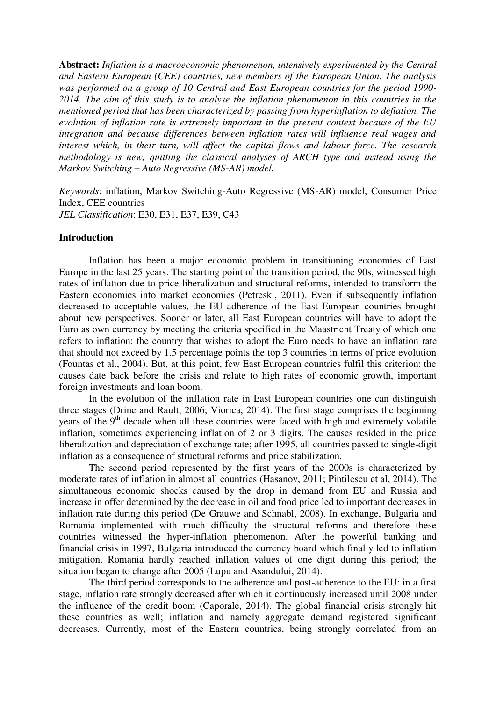**Abstract:** *Inflation is a macroeconomic phenomenon, intensively experimented by the Central and Eastern European (CEE) countries, new members of the European Union. The analysis was performed on a group of 10 Central and East European countries for the period 1990- 2014. The aim of this study is to analyse the inflation phenomenon in this countries in the mentioned period that has been characterized by passing from hyperinflation to deflation. The evolution of inflation rate is extremely important in the present context because of the EU integration and because differences between inflation rates will influence real wages and interest which, in their turn, will affect the capital flows and labour force. The research methodology is new, quitting the classical analyses of ARCH type and instead using the Markov Switching – Auto Regressive (MS-AR) model.* 

*Keywords*: inflation, Markov Switching-Auto Regressive (MS-AR) model, Consumer Price Index, CEE countries *JEL Classification*: E30, E31, E37, E39, C43

#### **Introduction**

Inflation has been a major economic problem in transitioning economies of East Europe in the last 25 years. The starting point of the transition period, the 90s, witnessed high rates of inflation due to price liberalization and structural reforms, intended to transform the Eastern economies into market economies (Petreski, 2011). Even if subsequently inflation decreased to acceptable values, the EU adherence of the East European countries brought about new perspectives. Sooner or later, all East European countries will have to adopt the Euro as own currency by meeting the criteria specified in the Maastricht Treaty of which one refers to inflation: the country that wishes to adopt the Euro needs to have an inflation rate that should not exceed by 1.5 percentage points the top 3 countries in terms of price evolution (Fountas et al., 2004). But, at this point, few East European countries fulfil this criterion: the causes date back before the crisis and relate to high rates of economic growth, important foreign investments and loan boom.

In the evolution of the inflation rate in East European countries one can distinguish three stages (Drine and Rault, 2006; Viorica, 2014). The first stage comprises the beginning years of the 9<sup>th</sup> decade when all these countries were faced with high and extremely volatile inflation, sometimes experiencing inflation of 2 or 3 digits. The causes resided in the price liberalization and depreciation of exchange rate; after 1995, all countries passed to single-digit inflation as a consequence of structural reforms and price stabilization.

The second period represented by the first years of the 2000s is characterized by moderate rates of inflation in almost all countries (Hasanov, 2011; Pintilescu et al, 2014). The simultaneous economic shocks caused by the drop in demand from EU and Russia and increase in offer determined by the decrease in oil and food price led to important decreases in inflation rate during this period (De Grauwe and Schnabl, 2008). In exchange, Bulgaria and Romania implemented with much difficulty the structural reforms and therefore these countries witnessed the hyper-inflation phenomenon. After the powerful banking and financial crisis in 1997, Bulgaria introduced the currency board which finally led to inflation mitigation. Romania hardly reached inflation values of one digit during this period; the situation began to change after 2005 (Lupu and Asandului, 2014).

The third period corresponds to the adherence and post-adherence to the EU: in a first stage, inflation rate strongly decreased after which it continuously increased until 2008 under the influence of the credit boom (Caporale, 2014). The global financial crisis strongly hit these countries as well; inflation and namely aggregate demand registered significant decreases. Currently, most of the Eastern countries, being strongly correlated from an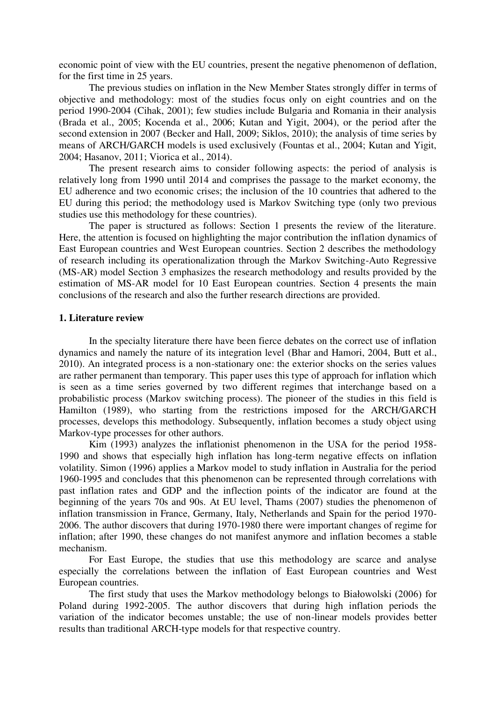economic point of view with the EU countries, present the negative phenomenon of deflation, for the first time in 25 years.

The previous studies on inflation in the New Member States strongly differ in terms of objective and methodology: most of the studies focus only on eight countries and on the period 1990-2004 (Cihak, 2001); few studies include Bulgaria and Romania in their analysis (Brada et al., 2005; Kocenda et al., 2006; Kutan and Yigit, 2004), or the period after the second extension in 2007 (Becker and Hall, 2009; Siklos, 2010); the analysis of time series by means of ARCH/GARCH models is used exclusively (Fountas et al., 2004; Kutan and Yigit, 2004; Hasanov, 2011; Viorica et al., 2014).

The present research aims to consider following aspects: the period of analysis is relatively long from 1990 until 2014 and comprises the passage to the market economy, the EU adherence and two economic crises; the inclusion of the 10 countries that adhered to the EU during this period; the methodology used is Markov Switching type (only two previous studies use this methodology for these countries).

The paper is structured as follows: Section 1 presents the review of the literature. Here, the attention is focused on highlighting the major contribution the inflation dynamics of East European countries and West European countries. Section 2 describes the methodology of research including its operationalization through the Markov Switching-Auto Regressive (MS-AR) model Section 3 emphasizes the research methodology and results provided by the estimation of MS-AR model for 10 East European countries. Section 4 presents the main conclusions of the research and also the further research directions are provided.

## **1. Literature review**

In the specialty literature there have been fierce debates on the correct use of inflation dynamics and namely the nature of its integration level (Bhar and Hamori, 2004, Butt et al., 2010). An integrated process is a non-stationary one: the exterior shocks on the series values are rather permanent than temporary. This paper uses this type of approach for inflation which is seen as a time series governed by two different regimes that interchange based on a probabilistic process (Markov switching process). The pioneer of the studies in this field is Hamilton (1989), who starting from the restrictions imposed for the ARCH/GARCH processes, develops this methodology. Subsequently, inflation becomes a study object using Markov-type processes for other authors.

Kim (1993) analyzes the inflationist phenomenon in the USA for the period 1958- 1990 and shows that especially high inflation has long-term negative effects on inflation volatility. Simon (1996) applies a Markov model to study inflation in Australia for the period 1960-1995 and concludes that this phenomenon can be represented through correlations with past inflation rates and GDP and the inflection points of the indicator are found at the beginning of the years 70s and 90s. At EU level, Thams (2007) studies the phenomenon of inflation transmission in France, Germany, Italy, Netherlands and Spain for the period 1970- 2006. The author discovers that during 1970-1980 there were important changes of regime for inflation; after 1990, these changes do not manifest anymore and inflation becomes a stable mechanism.

For East Europe, the studies that use this methodology are scarce and analyse especially the correlations between the inflation of East European countries and West European countries.

The first study that uses the Markov methodology belongs to Białowolski (2006) for Poland during 1992-2005. The author discovers that during high inflation periods the variation of the indicator becomes unstable; the use of non-linear models provides better results than traditional ARCH-type models for that respective country.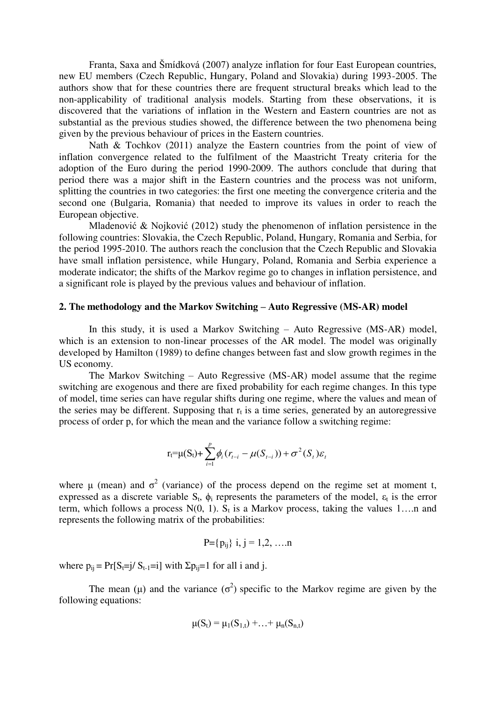Franta, Saxa and Šmídková (2007) analyze inflation for four East European countries, new EU members (Czech Republic, Hungary, Poland and Slovakia) during 1993-2005. The authors show that for these countries there are frequent structural breaks which lead to the non-applicability of traditional analysis models. Starting from these observations, it is discovered that the variations of inflation in the Western and Eastern countries are not as substantial as the previous studies showed, the difference between the two phenomena being given by the previous behaviour of prices in the Eastern countries.

Nath & Tochkov (2011) analyze the Eastern countries from the point of view of inflation convergence related to the fulfilment of the Maastricht Treaty criteria for the adoption of the Euro during the period 1990-2009. The authors conclude that during that period there was a major shift in the Eastern countries and the process was not uniform, splitting the countries in two categories: the first one meeting the convergence criteria and the second one (Bulgaria, Romania) that needed to improve its values in order to reach the European objective.

Mladenović & Nojković (2012) study the phenomenon of inflation persistence in the following countries: Slovakia, the Czech Republic, Poland, Hungary, Romania and Serbia, for the period 1995-2010. The authors reach the conclusion that the Czech Republic and Slovakia have small inflation persistence, while Hungary, Poland, Romania and Serbia experience a moderate indicator; the shifts of the Markov regime go to changes in inflation persistence, and a significant role is played by the previous values and behaviour of inflation.

### **2. The methodology and the Markov Switching – Auto Regressive (MS-AR) model**

In this study, it is used a Markov Switching – Auto Regressive (MS-AR) model, which is an extension to non-linear processes of the AR model. The model was originally developed by Hamilton (1989) to define changes between fast and slow growth regimes in the US economy.

The Markov Switching – Auto Regressive (MS-AR) model assume that the regime switching are exogenous and there are fixed probability for each regime changes. In this type of model, time series can have regular shifts during one regime, where the values and mean of the series may be different. Supposing that  $r_t$  is a time series, generated by an autoregressive process of order p, for which the mean and the variance follow a switching regime:

$$
r_t = \mu(S_t) + \sum_{i=1}^p \phi_i (r_{t-i} - \mu(S_{t-i})) + \sigma^2(S_t) \varepsilon_t
$$

where  $\mu$  (mean) and  $\sigma^2$  (variance) of the process depend on the regime set at moment t, expressed as a discrete variable  $S_t$ ,  $\phi_i$  represents the parameters of the model,  $\varepsilon_t$  is the error term, which follows a process  $N(0, 1)$ .  $S_t$  is a Markov process, taking the values 1... n and represents the following matrix of the probabilities:

$$
P = \{p_{ij}\} \ i, j = 1, 2, \ldots n
$$

where  $p_{ii} = Pr[S_i=i] S_{i-1}=i]$  with  $\Sigma p_{ii}=1$  for all i and j.

The mean ( $\mu$ ) and the variance ( $\sigma^2$ ) specific to the Markov regime are given by the following equations:

$$
\mu(S_t) = \mu_1(S_{1,t}) + \ldots + \mu_n(S_{n,t})
$$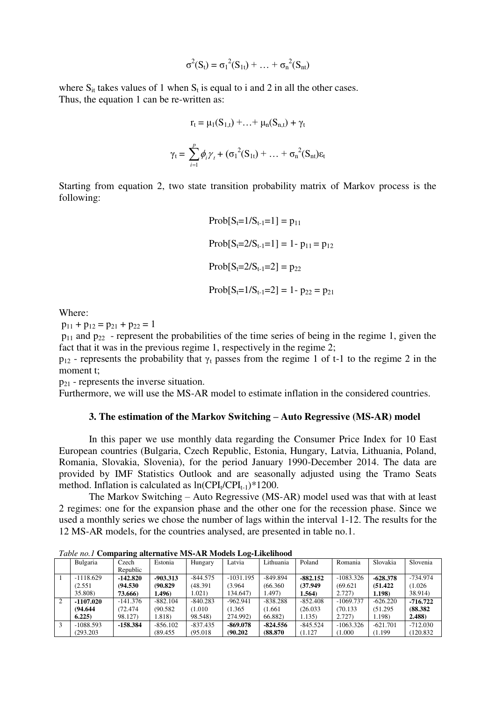$$
\sigma^{2}(S_{t}) = \sigma_{1}^{2}(S_{1t}) + ... + \sigma_{n}^{2}(S_{nt})
$$

where  $S_{it}$  takes values of 1 when  $S_t$  is equal to i and 2 in all the other cases. Thus, the equation 1 can be re-written as:

$$
r_t = \mu_1(S_{1,t}) + \ldots + \mu_n(S_{n,t}) + \gamma_t
$$
  

$$
\gamma_t = \sum_{i=1}^p \phi_i \gamma_t + (\sigma_1^2(S_{1t}) + \ldots + \sigma_n^2(S_{nt}) \epsilon_t)
$$

Starting from equation 2, two state transition probability matrix of Markov process is the following:

Prob[St=1/St-1=1] = p<sup>11</sup> Prob[St=2/St-1=1] = 1- p11 = p<sup>12</sup> Prob[St=2/St-1=2] = p<sup>22</sup> Prob[St=1/St-1=2] = 1- p<sup>22</sup> = p<sup>21</sup>

Where:

 $p_{11} + p_{12} = p_{21} + p_{22} = 1$ 

 $p_{11}$  and  $p_{22}$  - represent the probabilities of the time series of being in the regime 1, given the fact that it was in the previous regime 1, respectively in the regime 2;

 $p_{12}$  - represents the probability that  $\gamma_t$  passes from the regime 1 of t-1 to the regime 2 in the moment t;

 $p_{21}$  - represents the inverse situation.

Furthermore, we will use the MS-AR model to estimate inflation in the considered countries.

## **3. The estimation of the Markov Switching – Auto Regressive (MS-AR) model**

In this paper we use monthly data regarding the Consumer Price Index for 10 East European countries (Bulgaria, Czech Republic, Estonia, Hungary, Latvia, Lithuania, Poland, Romania, Slovakia, Slovenia), for the period January 1990-December 2014. The data are provided by IMF Statistics Outlook and are seasonally adjusted using the Tramo Seats method. Inflation is calculated as  $ln(CPI_t/CPI_{t-1})$  \*1200.

 The Markov Switching – Auto Regressive (MS-AR) model used was that with at least 2 regimes: one for the expansion phase and the other one for the recession phase. Since we used a monthly series we chose the number of lags within the interval 1-12. The results for the 12 MS-AR models, for the countries analysed, are presented in table no.1.

|   | Bulgaria    | Czech      | Estonia    | Hungary    | Latvia      | Lithuania  | Poland     | Romania     | Slovakia   | Slovenia   |
|---|-------------|------------|------------|------------|-------------|------------|------------|-------------|------------|------------|
|   |             | Republic   |            |            |             |            |            |             |            |            |
|   | $-1118.629$ | $-142.820$ | $-903.313$ | $-844.575$ | $-1031.195$ | $-849.894$ | $-882.152$ | $-1083.326$ | $-628.378$ | $-734.974$ |
|   | (2.551)     | (94.530)   | (90.829)   | (48.391)   | (3.964)     | (66.360)   | (37.949)   | (69.621)    | (51.422)   | (1.026)    |
|   | 35.808)     | 73.666)    | 1.496)     | 1.021)     | 134.647)    | 1.497)     | 1.564)     | 2.727)      | 1.198)     | 38.914)    |
| 2 | $-1107.020$ | $-141.376$ | $-882.104$ | $-840.283$ | $-962.941$  | $-838.288$ | $-852.408$ | $-1069.737$ | $-626.220$ | $-716.722$ |
|   | (94.644)    | 72.474     | (90.582)   | (1.010)    | (1.365)     | 1.661      | (26.033)   | (70.133)    | (51.295)   | (88.382)   |
|   | 6.225       | 98.127)    | .818)      | 98.548)    | 274.992)    | 66.882)    | 1.135)     | 2.727)      | .198)      | 2.488      |
| 3 | $-1088.593$ | $-158.384$ | $-856.102$ | $-837.435$ | $-869.078$  | $-824.556$ | $-845.524$ | $-1063.326$ | $-621.701$ | $-712.030$ |
|   | (293.203)   |            | (89.455    | (95.018)   | (90.202)    | (88.870)   | (1.127     | (1.000)     | (1.199     | (120.832)  |

*Table no.1* **Comparing alternative MS-AR Models Log-Likelihood**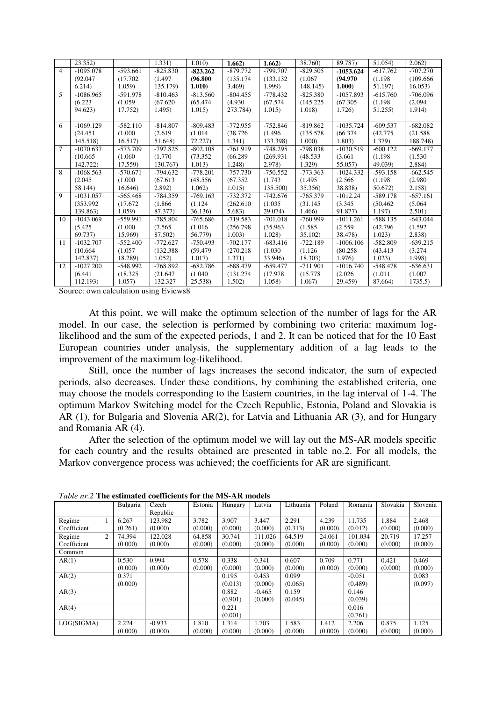|                | 23.352)     |            | 1.331)     | 1.010)     | 1.662)     | 1.662)     | 38.760)    | 89.787)     | 51.054)    | $2.062$ )  |
|----------------|-------------|------------|------------|------------|------------|------------|------------|-------------|------------|------------|
| $\overline{4}$ | $-1095.078$ | $-593.661$ | $-825.830$ | $-823.262$ | $-879.772$ | $-799.707$ | $-829.505$ | $-1053.624$ | $-617.762$ | $-707.270$ |
|                | (92.047)    | (17.702)   | (1.497)    | (96.800)   | (135.174)  | (133.132)  | (1.067)    | (94.970)    | (1.198)    | (109.666)  |
|                | 6.214)      | 1.059      | 135.179)   | 1.010)     | 3.469)     | 1.999)     | 148.145)   | 1.000)      | 51.197)    | 16.053     |
| 5              | $-1086.965$ | $-591.978$ | $-810.463$ | $-813.560$ | $-804.455$ | $-778.432$ | $-825.380$ | $-1057.893$ | $-615.760$ | $-706.096$ |
|                | (6.223)     | (1.059)    | (67.620)   | (65.474)   | (4.930)    | (67.574)   | (145.225)  | (67.305)    | (1.198)    | (2.094)    |
|                | 94.623)     | 17.752)    | 1.495)     | 1.015      | 273.784)   | 1.015      | 1.018)     | 1.726       | 51.255)    | 1.914)     |
|                |             |            |            |            |            |            |            |             |            |            |
| 6              | $-1069.129$ | $-582.110$ | $-814.807$ | $-809.483$ | $-772.955$ | $-752.846$ | $-819.862$ | $-1035.724$ | $-609.537$ | $-682.082$ |
|                | (24.451)    | (1.000)    | (2.619)    | (1.014)    | (38.726)   | (1.496)    | (135.578)  | (66.374)    | (42.775)   | (21.588)   |
|                | 145.518)    | 16.517)    | 51.648)    | 72.227     | 1.341)     | 133.398)   | 1.000      | 1.803)      | 1.379)     | 188.748)   |
| $\tau$         | $-1070.637$ | $-573.709$ | $-797.825$ | $-802.108$ | $-761.919$ | $-748.295$ | $-798.038$ | $-1030.519$ | $-600.122$ | $-669.177$ |
|                | (10.665)    | (1.060)    | (1.770)    | (73.352)   | (66.289)   | (269.931)  | (48.533)   | (3.661)     | (1.198)    | (1.530)    |
|                | 142.722)    | 17.559)    | 130.767)   | 1.013)     | 1.248)     | 2.978)     | 1.329)     | 55.057)     | 49.039)    | 2.884)     |
| 8              | $-1068.563$ | $-570.671$ | $-794.632$ | $-778.201$ | -757.730   | $-750.552$ | $-773.363$ | $-1024.332$ | $-593.158$ | $-662.545$ |
|                | (2.045)     | (1.000)    | (67.613)   | (48.556)   | (67.352)   | (1.743)    | (1.495)    | (2.566)     | (1.198)    | (2.980)    |
|                | 58.144)     | 16.646)    | 2.892)     | 1.062)     | 1.015)     | 135.500)   | 35.356)    | 38.838)     | 50.672)    | 2.158)     |
| 9              | $-1031.057$ | $-565.468$ | $-784.359$ | $-769.163$ | $-732.372$ | $-742.676$ | $-765.379$ | $-1012.24$  | $-589.178$ | $-657.161$ |
|                | (353.992)   | (17.672)   | (1.866)    | (1.124)    | (262.610)  | (1.035)    | (31.145)   | (3.345)     | (50.462)   | (5.064)    |
|                | 139.863)    | 1.059      | 87.377)    | 36.136)    | 5.683)     | 29.074)    | 1.466)     | 91.877)     | 1.197)     | 2.501)     |
| 10             | $-1043.069$ | $-559.991$ | $-785.804$ | $-765.686$ | $-719.583$ | $-701.018$ | $-760.999$ | $-1011.261$ | $-588.135$ | $-643.044$ |
|                | (5.425)     | (1.000)    | (7.565)    | (1.016)    | (256.798)  | (35.963)   | (1.585)    | (2.559)     | (42.796)   | (1.592)    |
|                | 69.737)     | 15.969)    | 87.502)    | 56.779)    | 1.003)     | 1.028)     | 35.102)    | 38.478)     | 1.023)     | 2.838      |
| 11             | $-1032.707$ | $-552.400$ | $-772.627$ | $-750.493$ | $-702.177$ | $-683.416$ | $-722.189$ | $-1006.106$ | $-582.809$ | $-639.215$ |
|                | (10.664)    | (1.057)    | (132.388)  | (59.479)   | (270.218)  | (1.030)    | (1.126)    | (80.258)    | (43.413)   | (3.274)    |
|                | 142.837)    | 18.289)    | 1.052)     | 1.017)     | 1.371)     | 33.946)    | 18.303)    | 1.976)      | 1.023)     | 1.998)     |
| 12             | $-1027.200$ | $-548.992$ | $-768.892$ | $-682.786$ | $-688.479$ | $-659.477$ | $-711.901$ | $-1016.740$ | $-548.478$ | $-636.631$ |
|                | (6.441)     | (18.325)   | (21.647)   | (1.040)    | (131.274)  | (17.978)   | (15.778)   | (2.026)     | (1.011)    | (1.007)    |
|                | 112.193)    | 1.057)     | 132.327    | 25.538)    | 1.502)     | 1.058)     | 1.067)     | 29.459)     | 87.664)    | 1735.5     |

At this point, we will make the optimum selection of the number of lags for the AR model. In our case, the selection is performed by combining two criteria: maximum loglikelihood and the sum of the expected periods, 1 and 2. It can be noticed that for the 10 East European countries under analysis, the supplementary addition of a lag leads to the improvement of the maximum log-likelihood.

Still, once the number of lags increases the second indicator, the sum of expected periods, also decreases. Under these conditions, by combining the established criteria, one may choose the models corresponding to the Eastern countries, in the lag interval of 1-4. The optimum Markov Switching model for the Czech Republic, Estonia, Poland and Slovakia is AR (1), for Bulgaria and Slovenia AR(2), for Latvia and Lithuania AR (3), and for Hungary and Romania AR (4).

After the selection of the optimum model we will lay out the MS-AR models specific for each country and the results obtained are presented in table no.2. For all models, the Markov convergence process was achieved; the coefficients for AR are significant.

| <i>Labic III.2</i> THe estimated coemercins for the MIS-AR models |   |          |          |         |         |          |           |         |          |          |          |
|-------------------------------------------------------------------|---|----------|----------|---------|---------|----------|-----------|---------|----------|----------|----------|
|                                                                   |   | Bulgaria | Czech    | Estonia | Hungary | Latvia   | Lithuania | Poland  | Romania  | Slovakia | Slovenia |
|                                                                   |   |          | Republic |         |         |          |           |         |          |          |          |
| Regime                                                            |   | 6.267    | 123.982  | 3.782   | 3.907   | 3.447    | 2.291     | 4.239   | 11.735   | 1.884    | 2.468    |
| Coefficient                                                       |   | (0.261)  | (0.000)  | (0.000) | (0.000) | (0.000)  | (0.313)   | (0.000) | (0.012)  | (0.000)  | (0.000)  |
| Regime                                                            | 2 | 74.394   | 122.028  | 64.858  | 30.741  | 111.026  | 64.519    | 24.061  | 101.034  | 20.719   | 17.257   |
| Coefficient                                                       |   | (0.000)  | (0.000)  | (0.000) | (0.000) | (0.000)  | (0.000)   | (0.000) | (0.000)  | (0.000)  | (0.000)  |
| Common                                                            |   |          |          |         |         |          |           |         |          |          |          |
| AR(1)                                                             |   | 0.530    | 0.994    | 0.578   | 0.338   | 0.341    | 0.607     | 0.709   | 0.771    | 0.421    | 0.469    |
|                                                                   |   | (0.000)  | (0.000)  | (0.000) | (0.000) | (0.000)  | (0.000)   | (0.000) | (0.000)  | (0.000)  | (0.000)  |
| AR(2)                                                             |   | 0.371    |          |         | 0.195   | 0.453    | 0.099     |         | $-0.051$ |          | 0.083    |
|                                                                   |   | (0.000)  |          |         | (0.013) | (0.000)  | (0.065)   |         | (0.489)  |          | (0.097)  |
| AR(3)                                                             |   |          |          |         | 0.882   | $-0.465$ | 0.159     |         | 0.146    |          |          |
|                                                                   |   |          |          |         | (0.901) | (0.000)  | (0.045)   |         | (0.039)  |          |          |
| AR(4)                                                             |   |          |          |         | 0.221   |          |           |         | 0.016    |          |          |
|                                                                   |   |          |          |         | (0.001) |          |           |         | (0.761)  |          |          |
| LOG(SIGMA)                                                        |   | 2.224    | $-0.933$ | 1.810   | 1.314   | 1.703    | 1.583     | 1.412   | 2.206    | 0.875    | 1.125    |
|                                                                   |   | (0.000)  | (0.000)  | (0.000) | (0.000) | (0.000)  | (0.000)   | (0.000) | (0.000)  | (0.000)  | (0.000)  |

*Table nr.2* **The estimated coefficients for the MS-AR models**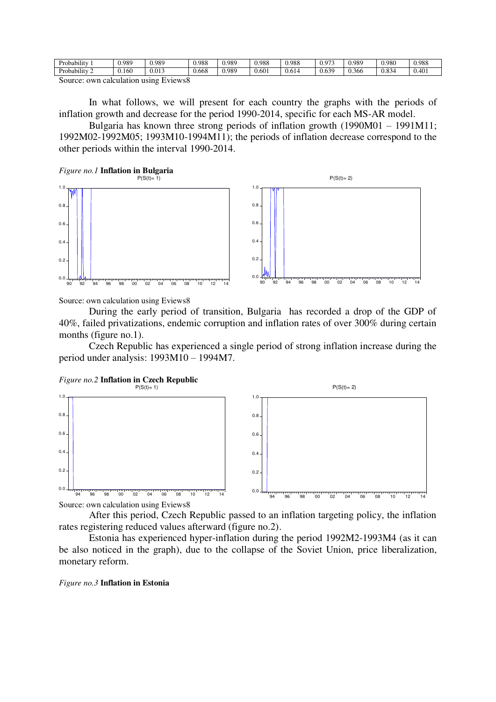| .<br>$\sim$<br>Probability                     | 0.989 | 0.989        | 0.988 | 0.989 | 0.988 | 0.988         | 0.07        | 0.98 <sup>c</sup> | 0.980                   | 0.988 |  |
|------------------------------------------------|-------|--------------|-------|-------|-------|---------------|-------------|-------------------|-------------------------|-------|--|
| <br>$\sim$<br>Probability                      | 0.160 | 012<br>v.v.o | J.668 | 0.989 | 0.601 | ° 1.<br>0.614 | 630<br>v.v. | 0.366             | $\circ$<br>ے -<br>v.v., | 0.401 |  |
| k'assanan asassa anlasslabang sangan lisangsak |       |              |       |       |       |               |             |                   |                         |       |  |

In what follows, we will present for each country the graphs with the periods of inflation growth and decrease for the period 1990-2014, specific for each MS-AR model.

Bulgaria has known three strong periods of inflation growth (1990M01 – 1991M11; 1992M02-1992M05; 1993M10-1994M11); the periods of inflation decrease correspond to the other periods within the interval 1990-2014.

*Figure no.1* **Inflation in Bulgaria** 



Source: own calculation using Eviews8

During the early period of transition, Bulgaria has recorded a drop of the GDP of 40%, failed privatizations, endemic corruption and inflation rates of over 300% during certain months (figure no.1).

Czech Republic has experienced a single period of strong inflation increase during the period under analysis: 1993M10 – 1994M7.

*Figure no.2* **Inflation in Czech Republic** 



Source: own calculation using Eviews8

After this period, Czech Republic passed to an inflation targeting policy, the inflation rates registering reduced values afterward (figure no.2).

Estonia has experienced hyper-inflation during the period 1992M2-1993M4 (as it can be also noticed in the graph), due to the collapse of the Soviet Union, price liberalization, monetary reform.

*Figure no.3* **Inflation in Estonia**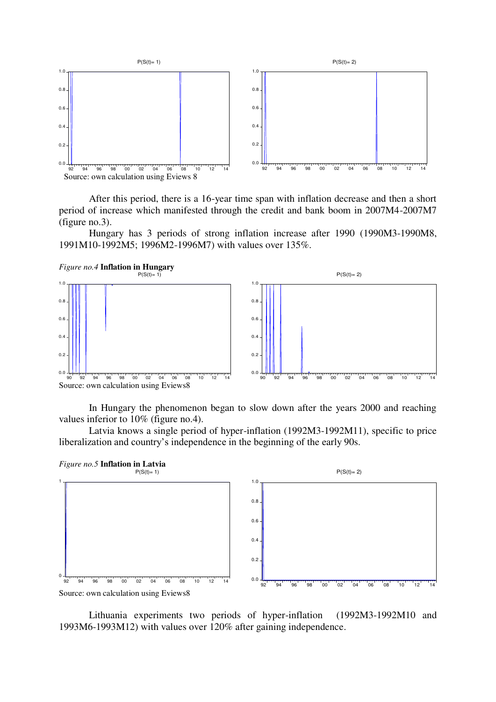

After this period, there is a 16-year time span with inflation decrease and then a short period of increase which manifested through the credit and bank boom in 2007M4-2007M7 (figure no.3).

Hungary has 3 periods of strong inflation increase after 1990 (1990M3-1990M8, 1991M10-1992M5; 1996M2-1996M7) with values over 135%.





In Hungary the phenomenon began to slow down after the years 2000 and reaching values inferior to 10% (figure no.4).

Latvia knows a single period of hyper-inflation (1992M3-1992M11), specific to price liberalization and country's independence in the beginning of the early 90s.



Source: own calculation using Eviews8

Lithuania experiments two periods of hyper-inflation (1992M3-1992M10 and 1993M6-1993M12) with values over 120% after gaining independence.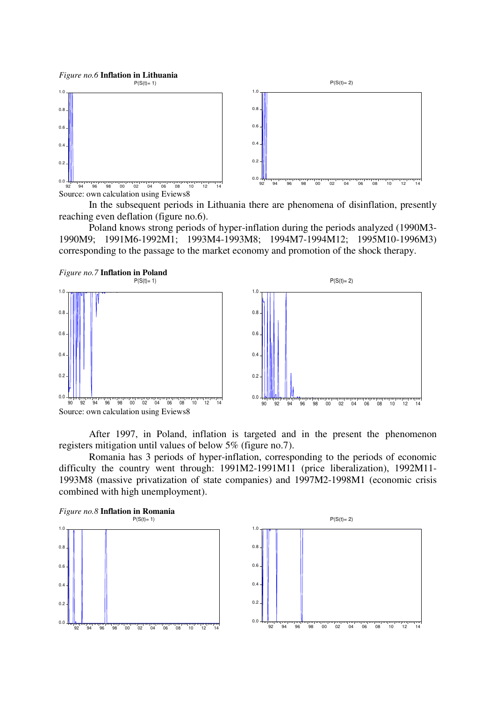

In the subsequent periods in Lithuania there are phenomena of disinflation, presently reaching even deflation (figure no.6).

Poland knows strong periods of hyper-inflation during the periods analyzed (1990M3- 1990M9; 1991M6-1992M1; 1993M4-1993M8; 1994M7-1994M12; 1995M10-1996M3) corresponding to the passage to the market economy and promotion of the shock therapy.



After 1997, in Poland, inflation is targeted and in the present the phenomenon registers mitigation until values of below 5% (figure no.7).

Romania has 3 periods of hyper-inflation, corresponding to the periods of economic difficulty the country went through: 1991M2-1991M11 (price liberalization), 1992M11- 1993M8 (massive privatization of state companies) and 1997M2-1998M1 (economic crisis combined with high unemployment).

*Figure no.8* **Inflation in Romania** 



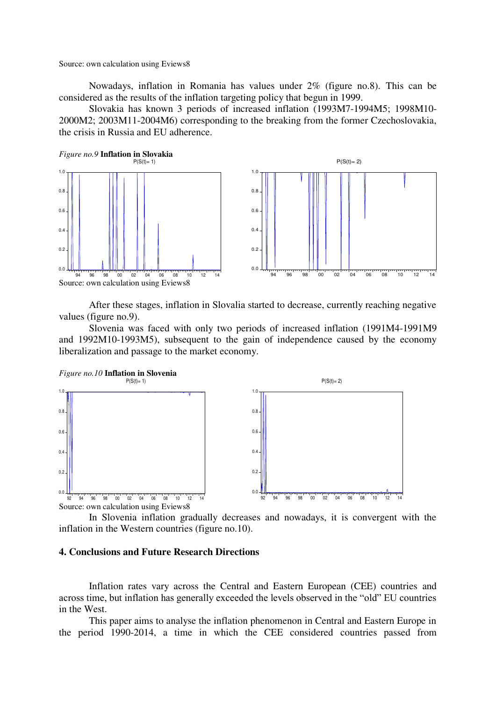Nowadays, inflation in Romania has values under 2% (figure no.8). This can be considered as the results of the inflation targeting policy that begun in 1999.

Slovakia has known 3 periods of increased inflation (1993M7-1994M5; 1998M10- 2000M2; 2003M11-2004M6) corresponding to the breaking from the former Czechoslovakia, the crisis in Russia and EU adherence.

*Figure no.9* **Inflation in Slovakia**   $P(S(t)=1)$ 



After these stages, inflation in Slovalia started to decrease, currently reaching negative values (figure no.9).

Slovenia was faced with only two periods of increased inflation (1991M4-1991M9 and 1992M10-1993M5), subsequent to the gain of independence caused by the economy liberalization and passage to the market economy.





In Slovenia inflation gradually decreases and nowadays, it is convergent with the inflation in the Western countries (figure no.10).

# **4. Conclusions and Future Research Directions**

Inflation rates vary across the Central and Eastern European (CEE) countries and across time, but inflation has generally exceeded the levels observed in the "old" EU countries in the West.

This paper aims to analyse the inflation phenomenon in Central and Eastern Europe in the period 1990-2014, a time in which the CEE considered countries passed from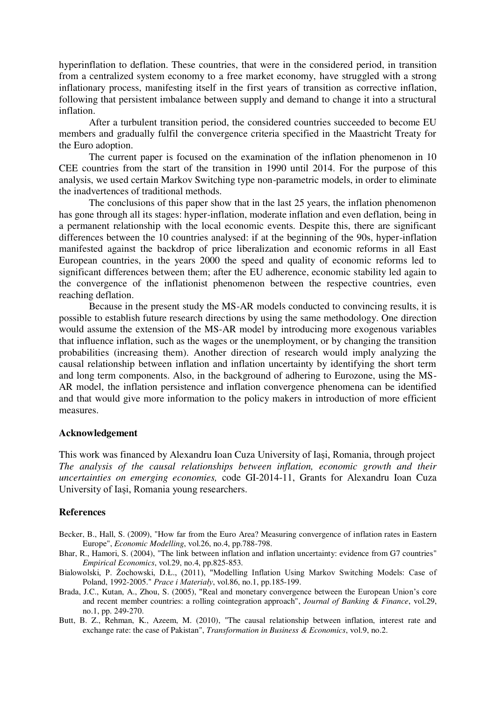hyperinflation to deflation. These countries, that were in the considered period, in transition from a centralized system economy to a free market economy, have struggled with a strong inflationary process, manifesting itself in the first years of transition as corrective inflation, following that persistent imbalance between supply and demand to change it into a structural inflation.

After a turbulent transition period, the considered countries succeeded to become EU members and gradually fulfil the convergence criteria specified in the Maastricht Treaty for the Euro adoption.

The current paper is focused on the examination of the inflation phenomenon in 10 CEE countries from the start of the transition in 1990 until 2014. For the purpose of this analysis, we used certain Markov Switching type non-parametric models, in order to eliminate the inadvertences of traditional methods.

The conclusions of this paper show that in the last 25 years, the inflation phenomenon has gone through all its stages: hyper-inflation, moderate inflation and even deflation, being in a permanent relationship with the local economic events. Despite this, there are significant differences between the 10 countries analysed: if at the beginning of the 90s, hyper-inflation manifested against the backdrop of price liberalization and economic reforms in all East European countries, in the years 2000 the speed and quality of economic reforms led to significant differences between them; after the EU adherence, economic stability led again to the convergence of the inflationist phenomenon between the respective countries, even reaching deflation.

Because in the present study the MS-AR models conducted to convincing results, it is possible to establish future research directions by using the same methodology. One direction would assume the extension of the MS-AR model by introducing more exogenous variables that influence inflation, such as the wages or the unemployment, or by changing the transition probabilities (increasing them). Another direction of research would imply analyzing the causal relationship between inflation and inflation uncertainty by identifying the short term and long term components. Also, in the background of adhering to Eurozone, using the MS-AR model, the inflation persistence and inflation convergence phenomena can be identified and that would give more information to the policy makers in introduction of more efficient measures.

## **Acknowledgement**

This work was financed by Alexandru Ioan Cuza University of Iași, Romania, through project *The analysis of the causal relationships between inflation, economic growth and their uncertainties on emerging economies,* code GI-2014-11, Grants for Alexandru Ioan Cuza University of Iași, Romania young researchers.

#### **References**

- Becker, B., Hall, S. (2009), "How far from the Euro Area? Measuring convergence of inflation rates in Eastern Europe", *Economic Modelling*, vol.26, no.4, pp.788-798.
- Bhar, R., Hamori, S. (2004), "The link between inflation and inflation uncertainty: evidence from G7 countries" *Empirical Economics*, vol.29, no.4, pp.825-853.
- Bialowolski, P. Żochowski, D.Ł., (2011), "Modelling Inflation Using Markov Switching Models: Case of Poland, 1992-2005." *Prace i Materiały*, vol.86, no.1, pp.185-199.
- Brada, J.C., Kutan, A., Zhou, S. (2005), "Real and monetary convergence between the European Union's core and recent member countries: a rolling cointegration approach", *Journal of Banking & Finance*, vol.29, no.1, pp. 249-270.
- Butt, B. Z., Rehman, K., Azeem, M. (2010), "The causal relationship between inflation, interest rate and exchange rate: the case of Pakistan", *Transformation in Business & Economics*, vol.9, no.2.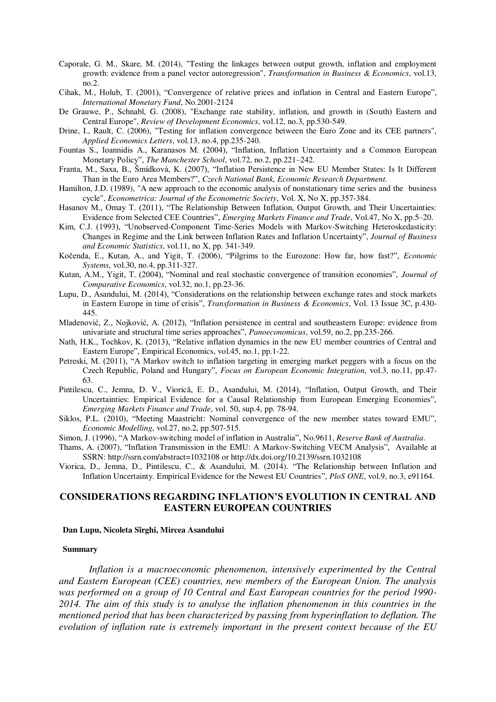- Caporale, G. M., Skare, M. (2014), "Testing the linkages between output growth, inflation and employment growth: evidence from a panel vector autoregression", *Transformation in Business & Economics*, vol.13, no.2.
- Cihak, M., Holub, T. (2001), "Convergence of relative prices and inflation in Central and Eastern Europe", *International Monetary Fund*, No.2001-2124
- De Grauwe, P., Schnabl, G. (2008), "Exchange rate stability, inflation, and growth in (South) Eastern and Central Europe", *Review of Development Economics*, vol.12, no.3, pp.530-549.
- Drine, I., Rault, C. (2006), "Testing for inflation convergence between the Euro Zone and its CEE partners", *Applied Economics Letters*, vol.13, no.4, pp.235-240.
- Fountas S., Ioannidis A., Karanasos M. (2004), "Inflation, Inflation Uncertainty and a Common European Monetary Policy", *The Manchester School*, vol.72, no.2, pp.221–242.
- Franta, M., Saxa, B., Šmídková, K. (2007), "Inflation Persistence in New EU Member States: Is It Different Than in the Euro Area Members?", *Czech National Bank, Economic Research Department.*
- Hamilton, J.D. (1989), "A new approach to the economic analysis of nonstationary time series and the business cycle", *Econometrica: Journal of the Econometric Society*, Vol. X, No X, pp.357-384.
- Hasanov M., Omay T. (2011), "The Relationship Between Inflation, Output Growth, and Their Uncertainties: Evidence from Selected CEE Countries", *Emerging Markets Finance and Trade*, Vol.47, No X, pp.5–20.
- Kim, C.J. (1993), "Unobserved-Component Time-Series Models with Markov-Switching Heteroskedasticity: Changes in Regime and the Link between Inflation Rates and Inflation Uncertainty", *Journal of Business and Economic Statistics*, vol.11, no X, pp. 341-349.
- Kočenda, E., Kutan, A., and Yigit, T. (2006), "Pilgrims to the Eurozone: How far, how fast?", *Economic Systems*, vol.30, no.4, pp.311-327.
- Kutan, A.M., Yigit, T. (2004), "Nominal and real stochastic convergence of transition economies", *Journal of Comparative Economics*, vol.32, no.1, pp.23-36.
- Lupu, D., Asandului, M. (2014), "Considerations on the relationship between exchange rates and stock markets in Eastern Europe in time of crisis", *Transformation in Business & Economics*, Vol. 13 Issue 3C, p.430- 445.
- Mladenović, Z., Nojković, A. (2012), "Inflation persistence in central and southeastern Europe: evidence from univariate and structural time series approaches", *Panoeconomicus*, vol.59, no.2, pp.235-266.
- Nath, H.K., Tochkov, K. (2013), "Relative inflation dynamics in the new EU member countries of Central and Eastern Europe", Empirical Economics, vol.45, no.1, pp.1-22.
- Petreski, M. (2011), "A Markov switch to inflation targeting in emerging market peggers with a focus on the Czech Republic, Poland and Hungary", *Focus on European Economic Integration*, vol.3, no.11, pp.47- 63.
- Pintilescu, C., Jemna, D. V., Viorică, E. D., Asandului, M. (2014), "Inflation, Output Growth, and Their Uncertainties: Empirical Evidence for a Causal Relationship from European Emerging Economies", *Emerging Markets Finance and Trade*, vol. 50, sup.4, pp. 78-94.
- Siklos, P.L. (2010), "Meeting Maastricht: Nominal convergence of the new member states toward EMU", *Economic Modelling*, vol.27, no.2, pp.507-515.
- Simon, J. (1996), "A Markov-switching model of inflation in Australia", No.9611, *Reserve Bank of Australia*.
- Thams, A. (2007), "Inflation Transmission in the EMU: A Markov-Switching VECM Analysis", Available at SSRN[: http://ssrn.com/abstract=1032108](http://ssrn.com/abstract=1032108) or<http://dx.doi.org/10.2139/ssrn.1032108>
- Viorica, D., Jemna, D., Pintilescu, C., & Asandului, M. (2014). "The Relationship between Inflation and Inflation Uncertainty. Empirical Evidence for the Newest EU Countries", *PloS ONE*, vol.9, no.3, e91164.

# **CONSIDERATIONS REGARDING INFLATION'S EVOLUTION IN CENTRAL AND EASTERN EUROPEAN COUNTRIES**

#### **Dan Lupu, Nicoleta Sîrghi, Mircea Asandului**

#### **Summary**

*Inflation is a macroeconomic phenomenon, intensively experimented by the Central and Eastern European (CEE) countries, new members of the European Union. The analysis was performed on a group of 10 Central and East European countries for the period 1990- 2014. The aim of this study is to analyse the inflation phenomenon in this countries in the mentioned period that has been characterized by passing from hyperinflation to deflation. The evolution of inflation rate is extremely important in the present context because of the EU*